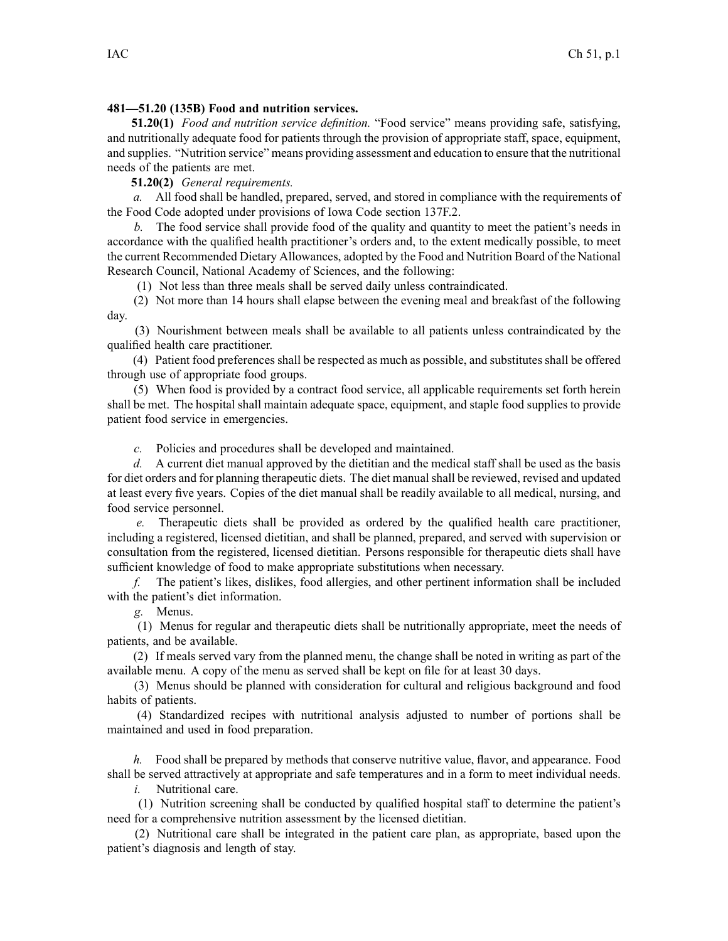## **481—51.20 (135B) Food and nutrition services.**

**51.20(1)** *Food and nutrition service definition.* "Food service" means providing safe, satisfying, and nutritionally adequate food for patients through the provision of appropriate staff, space, equipment, and supplies. "Nutrition service" means providing assessment and education to ensure that the nutritional needs of the patients are met.

**51.20(2)** *General requirements.*

*a.* All food shall be handled, prepared, served, and stored in compliance with the requirements of the Food Code adopted under provisions of Iowa Code section [137F.2](https://www.legis.iowa.gov/docs/ico/section/137F.2.pdf).

*b.* The food service shall provide food of the quality and quantity to meet the patient's needs in accordance with the qualified health practitioner's orders and, to the extent medically possible, to meet the current Recommended Dietary Allowances, adopted by the Food and Nutrition Board of the National Research Council, National Academy of Sciences, and the following:

(1) Not less than three meals shall be served daily unless contraindicated.

(2) Not more than 14 hours shall elapse between the evening meal and breakfast of the following day.

(3) Nourishment between meals shall be available to all patients unless contraindicated by the qualified health care practitioner.

(4) Patient food preferences shall be respected as much as possible, and substitutes shall be offered through use of appropriate food groups.

(5) When food is provided by <sup>a</sup> contract food service, all applicable requirements set forth herein shall be met. The hospital shall maintain adequate space, equipment, and staple food supplies to provide patient food service in emergencies.

*c.* Policies and procedures shall be developed and maintained.

*d.* A current diet manual approved by the dietitian and the medical staff shall be used as the basis for diet orders and for planning therapeutic diets. The diet manualshall be reviewed, revised and updated at least every five years. Copies of the diet manual shall be readily available to all medical, nursing, and food service personnel.

*e.* Therapeutic diets shall be provided as ordered by the qualified health care practitioner, including <sup>a</sup> registered, licensed dietitian, and shall be planned, prepared, and served with supervision or consultation from the registered, licensed dietitian. Persons responsible for therapeutic diets shall have sufficient knowledge of food to make appropriate substitutions when necessary.

*f.* The patient's likes, dislikes, food allergies, and other pertinent information shall be included with the patient's diet information.

*g.* Menus.

(1) Menus for regular and therapeutic diets shall be nutritionally appropriate, meet the needs of patients, and be available.

(2) If meals served vary from the planned menu, the change shall be noted in writing as par<sup>t</sup> of the available menu. A copy of the menu as served shall be kept on file for at least 30 days.

(3) Menus should be planned with consideration for cultural and religious background and food habits of patients.

(4) Standardized recipes with nutritional analysis adjusted to number of portions shall be maintained and used in food preparation.

*h.* Food shall be prepared by methods that conserve nutritive value, flavor, and appearance. Food shall be served attractively at appropriate and safe temperatures and in <sup>a</sup> form to meet individual needs.

*i.* Nutritional care.

(1) Nutrition screening shall be conducted by qualified hospital staff to determine the patient's need for <sup>a</sup> comprehensive nutrition assessment by the licensed dietitian.

(2) Nutritional care shall be integrated in the patient care plan, as appropriate, based upon the patient's diagnosis and length of stay.